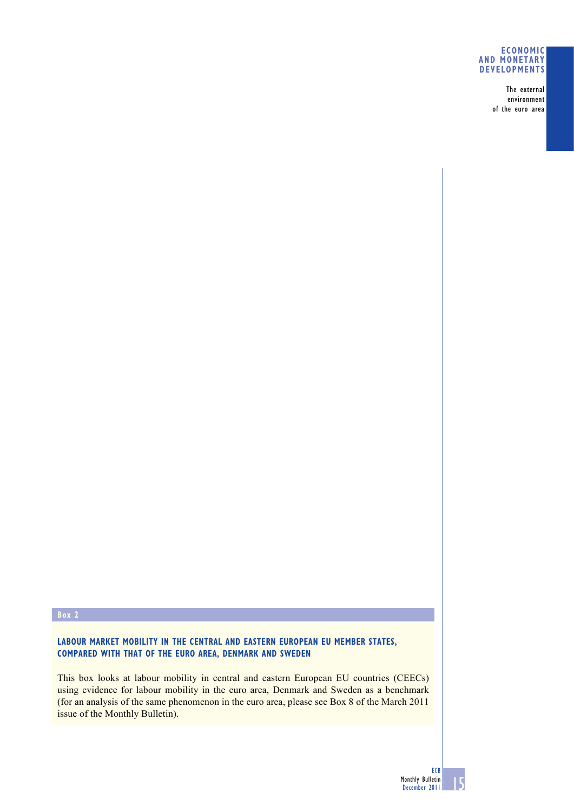## **ECONOMIC AND MONETARY DEVELOPMENTS**

The external environment of the euro area

## **Box 2**

**LABOUR MARKET MOBILITY IN THE CENTRAL AND EASTERN EUROPEAN EU MEMBER STATES, COMPARED WITH THAT OF THE EURO AREA, DENMARK AND SWEDEN**

This box looks at labour mobility in central and eastern European EU countries (CEECs) using evidence for labour mobility in the euro area, Denmark and Sweden as a benchmark (for an analysis of the same phenomenon in the euro area, please see Box 8 of the March 2011 issue of the Monthly Bulletin).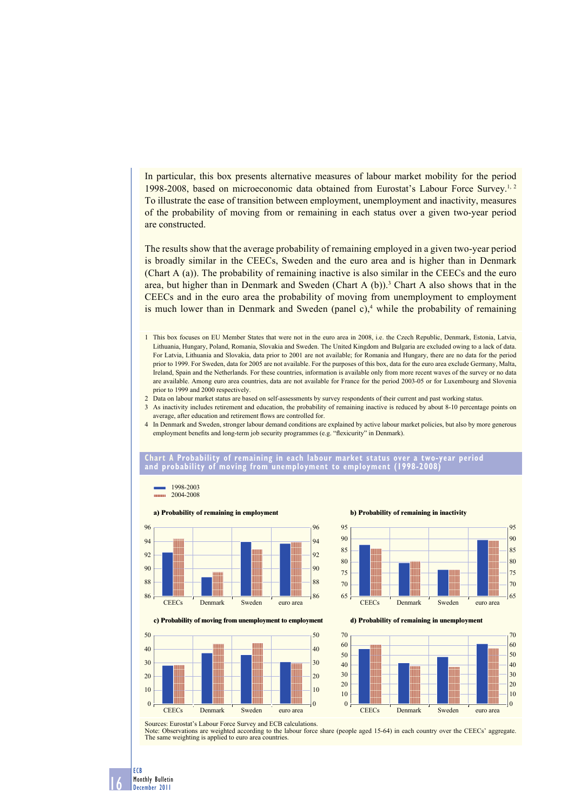In particular, this box presents alternative measures of labour market mobility for the period 1998-2008, based on microeconomic data obtained from Eurostat's Labour Force Survey.<sup>1, 2</sup> To illustrate the ease of transition between employment, unemployment and inactivity, measures of the probability of moving from or remaining in each status over a given two-year period are constructed.

The results show that the average probability of remaining employed in a given two-year period is broadly similar in the CEECs, Sweden and the euro area and is higher than in Denmark (Chart A (a)). The probability of remaining inactive is also similar in the CEECs and the euro area, but higher than in Denmark and Sweden (Chart A  $(b)$ ).<sup>3</sup> Chart A also shows that in the CEECs and in the euro area the probability of moving from unemployment to employment is much lower than in Denmark and Sweden (panel  $c$ ),<sup>4</sup> while the probability of remaining

- 1 This box focuses on EU Member States that were not in the euro area in 2008, i.e. the Czech Republic, Denmark, Estonia, Latvia, Lithuania, Hungary, Poland, Romania, Slovakia and Sweden. The United Kingdom and Bulgaria are excluded owing to a lack of data. For Latvia, Lithuania and Slovakia, data prior to 2001 are not available; for Romania and Hungary, there are no data for the period prior to 1999. For Sweden, data for 2005 are not available. For the purposes of this box, data for the euro area exclude Germany, Malta, Ireland, Spain and the Netherlands. For these countries, information is available only from more recent waves of the survey or no data are available. Among euro area countries, data are not available for France for the period 2003-05 or for Luxembourg and Slovenia prior to 1999 and 2000 respectively.
- 2 Data on labour market status are based on self-assessments by survey respondents of their current and past working status.
- 3 As inactivity includes retirement and education, the probability of remaining inactive is reduced by about 8-10 percentage points on average, after education and retirement flows are controlled for.
- 4 In Denmark and Sweden, stronger labour demand conditions are explained by active labour market policies, but also by more generous employment benefits and long-term job security programmes (e.g. "flexicurity" in Denmark).

**Chart A Probability of remaining in each labour market status over a two-year period and probability of moving from unemployment to employment (1998-2008)**









**c) Probability of moving from unemployment to employment d) Probability of remaining in unemployment**





Sources: Eurostat's Labour Force Survey and ECB calculations.

Note: Observations are weighted according to the labour force share (people aged 15-64) in each country over the CEECs' aggregate. The same weighting is applied to euro area countries.

16 Monthly Bulletin December 2011

ECB